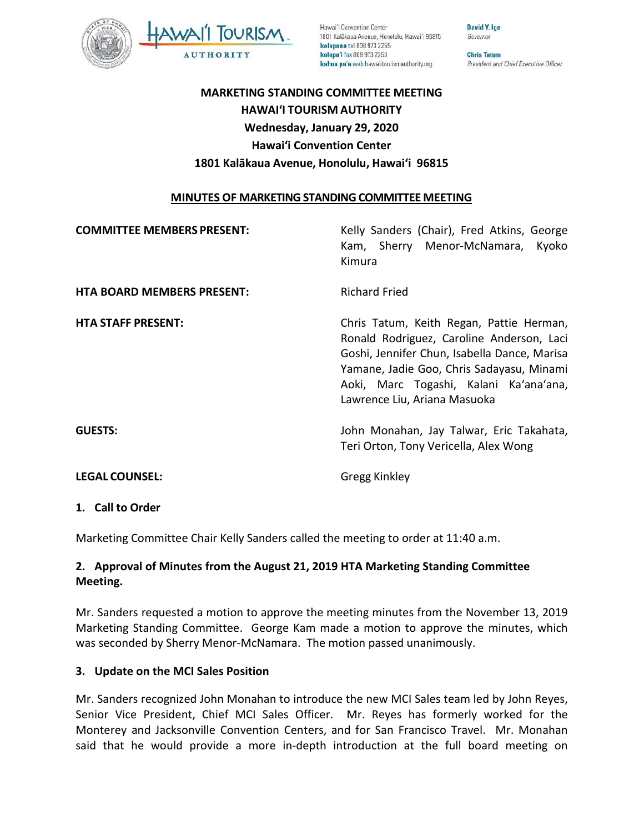

Hawai'i Convention Center 1801 Kalākaua Avenue, Honolulu, Hawai'i 96815 kelepona tel 808 973 2255 kelepa'i fax 808 973 2253 kahua pa'a web hawaiitourismauthority.org

Governor **Chris Tatum** 

David Y. Ige

President and Chief Executive Officer

# **MARKETING STANDING COMMITTEE MEETING HAWAI'I TOURISM AUTHORITY Wednesday, January 29, 2020 Hawai'i Convention Center 1801 Kalākaua Avenue, Honolulu, Hawai'i 96815**

### **MINUTES OF MARKETING STANDING COMMITTEE MEETING**

| <b>COMMITTEE MEMBERS PRESENT:</b> | Kelly Sanders (Chair), Fred Atkins, George<br>Kam, Sherry Menor-McNamara,<br>Kyoko<br>Kimura                                                                                                                                                                 |
|-----------------------------------|--------------------------------------------------------------------------------------------------------------------------------------------------------------------------------------------------------------------------------------------------------------|
| <b>HTA BOARD MEMBERS PRESENT:</b> | <b>Richard Fried</b>                                                                                                                                                                                                                                         |
| <b>HTA STAFF PRESENT:</b>         | Chris Tatum, Keith Regan, Pattie Herman,<br>Ronald Rodriguez, Caroline Anderson, Laci<br>Goshi, Jennifer Chun, Isabella Dance, Marisa<br>Yamane, Jadie Goo, Chris Sadayasu, Minami<br>Aoki, Marc Togashi, Kalani Ka'ana'ana,<br>Lawrence Liu, Ariana Masuoka |
| <b>GUESTS:</b>                    | John Monahan, Jay Talwar, Eric Takahata,<br>Teri Orton, Tony Vericella, Alex Wong                                                                                                                                                                            |
| <b>LEGAL COUNSEL:</b>             | Gregg Kinkley                                                                                                                                                                                                                                                |

#### **1. Call to Order**

Marketing Committee Chair Kelly Sanders called the meeting to order at 11:40 a.m.

### **2. Approval of Minutes from the August 21, 2019 HTA Marketing Standing Committee Meeting.**

Mr. Sanders requested a motion to approve the meeting minutes from the November 13, 2019 Marketing Standing Committee. George Kam made a motion to approve the minutes, which was seconded by Sherry Menor-McNamara. The motion passed unanimously.

#### **3. Update on the MCI Sales Position**

Mr. Sanders recognized John Monahan to introduce the new MCI Sales team led by John Reyes, Senior Vice President, Chief MCI Sales Officer. Mr. Reyes has formerly worked for the Monterey and Jacksonville Convention Centers, and for San Francisco Travel. Mr. Monahan said that he would provide a more in-depth introduction at the full board meeting on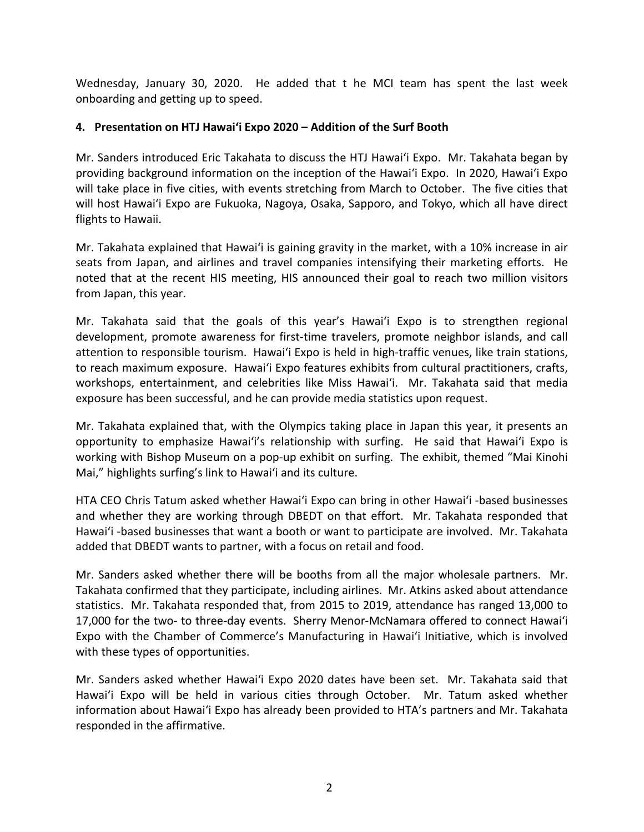Wednesday, January 30, 2020. He added that t he MCI team has spent the last week onboarding and getting up to speed.

## **4. Presentation on HTJ Hawai'i Expo 2020 – Addition of the Surf Booth**

Mr. Sanders introduced Eric Takahata to discuss the HTJ Hawai'i Expo. Mr. Takahata began by providing background information on the inception of the Hawai'i Expo. In 2020, Hawai'i Expo will take place in five cities, with events stretching from March to October. The five cities that will host Hawai'i Expo are Fukuoka, Nagoya, Osaka, Sapporo, and Tokyo, which all have direct flights to Hawaii.

Mr. Takahata explained that Hawai'i is gaining gravity in the market, with a 10% increase in air seats from Japan, and airlines and travel companies intensifying their marketing efforts. He noted that at the recent HIS meeting, HIS announced their goal to reach two million visitors from Japan, this year.

Mr. Takahata said that the goals of this year's Hawai'i Expo is to strengthen regional development, promote awareness for first-time travelers, promote neighbor islands, and call attention to responsible tourism. Hawai'i Expo is held in high-traffic venues, like train stations, to reach maximum exposure. Hawai'i Expo features exhibits from cultural practitioners, crafts, workshops, entertainment, and celebrities like Miss Hawai'i. Mr. Takahata said that media exposure has been successful, and he can provide media statistics upon request.

Mr. Takahata explained that, with the Olympics taking place in Japan this year, it presents an opportunity to emphasize Hawai'i's relationship with surfing. He said that Hawai'i Expo is working with Bishop Museum on a pop-up exhibit on surfing. The exhibit, themed "Mai Kinohi Mai," highlights surfing's link to Hawai'i and its culture.

HTA CEO Chris Tatum asked whether Hawai'i Expo can bring in other Hawai'i -based businesses and whether they are working through DBEDT on that effort. Mr. Takahata responded that Hawai'i -based businesses that want a booth or want to participate are involved. Mr. Takahata added that DBEDT wants to partner, with a focus on retail and food.

Mr. Sanders asked whether there will be booths from all the major wholesale partners. Mr. Takahata confirmed that they participate, including airlines. Mr. Atkins asked about attendance statistics. Mr. Takahata responded that, from 2015 to 2019, attendance has ranged 13,000 to 17,000 for the two- to three-day events. Sherry Menor-McNamara offered to connect Hawai'i Expo with the Chamber of Commerce's Manufacturing in Hawai'i Initiative, which is involved with these types of opportunities.

Mr. Sanders asked whether Hawai'i Expo 2020 dates have been set. Mr. Takahata said that Hawai'i Expo will be held in various cities through October. Mr. Tatum asked whether information about Hawai'i Expo has already been provided to HTA's partners and Mr. Takahata responded in the affirmative.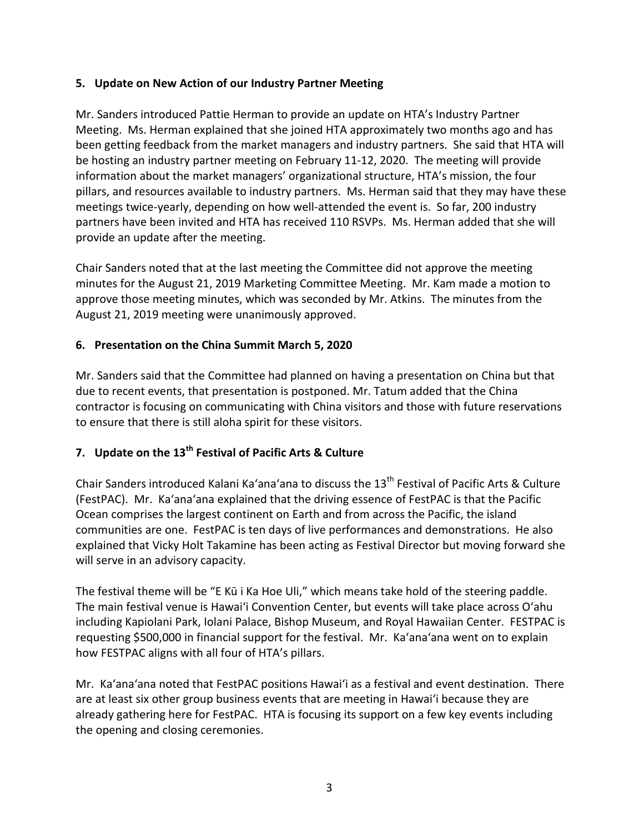## **5. Update on New Action of our Industry Partner Meeting**

Mr. Sanders introduced Pattie Herman to provide an update on HTA's Industry Partner Meeting. Ms. Herman explained that she joined HTA approximately two months ago and has been getting feedback from the market managers and industry partners. She said that HTA will be hosting an industry partner meeting on February 11-12, 2020. The meeting will provide information about the market managers' organizational structure, HTA's mission, the four pillars, and resources available to industry partners. Ms. Herman said that they may have these meetings twice-yearly, depending on how well-attended the event is. So far, 200 industry partners have been invited and HTA has received 110 RSVPs. Ms. Herman added that she will provide an update after the meeting.

Chair Sanders noted that at the last meeting the Committee did not approve the meeting minutes for the August 21, 2019 Marketing Committee Meeting. Mr. Kam made a motion to approve those meeting minutes, which was seconded by Mr. Atkins. The minutes from the August 21, 2019 meeting were unanimously approved.

## **6. Presentation on the China Summit March 5, 2020**

Mr. Sanders said that the Committee had planned on having a presentation on China but that due to recent events, that presentation is postponed. Mr. Tatum added that the China contractor is focusing on communicating with China visitors and those with future reservations to ensure that there is still aloha spirit for these visitors.

# **7. Update on the 13th Festival of Pacific Arts & Culture**

Chair Sanders introduced Kalani Ka'ana'ana to discuss the  $13<sup>th</sup>$  Festival of Pacific Arts & Culture (FestPAC). Mr. Ka'ana'ana explained that the driving essence of FestPAC is that the Pacific Ocean comprises the largest continent on Earth and from across the Pacific, the island communities are one. FestPAC is ten days of live performances and demonstrations. He also explained that Vicky Holt Takamine has been acting as Festival Director but moving forward she will serve in an advisory capacity.

The festival theme will be "E Kū i Ka Hoe Uli," which means take hold of the steering paddle. The main festival venue is Hawai'i Convention Center, but events will take place across O'ahu including Kapiolani Park, Iolani Palace, Bishop Museum, and Royal Hawaiian Center. FESTPAC is requesting \$500,000 in financial support for the festival. Mr. Ka'ana'ana went on to explain how FESTPAC aligns with all four of HTA's pillars.

Mr. Ka'ana'ana noted that FestPAC positions Hawai'i as a festival and event destination. There are at least six other group business events that are meeting in Hawai'i because they are already gathering here for FestPAC. HTA is focusing its support on a few key events including the opening and closing ceremonies.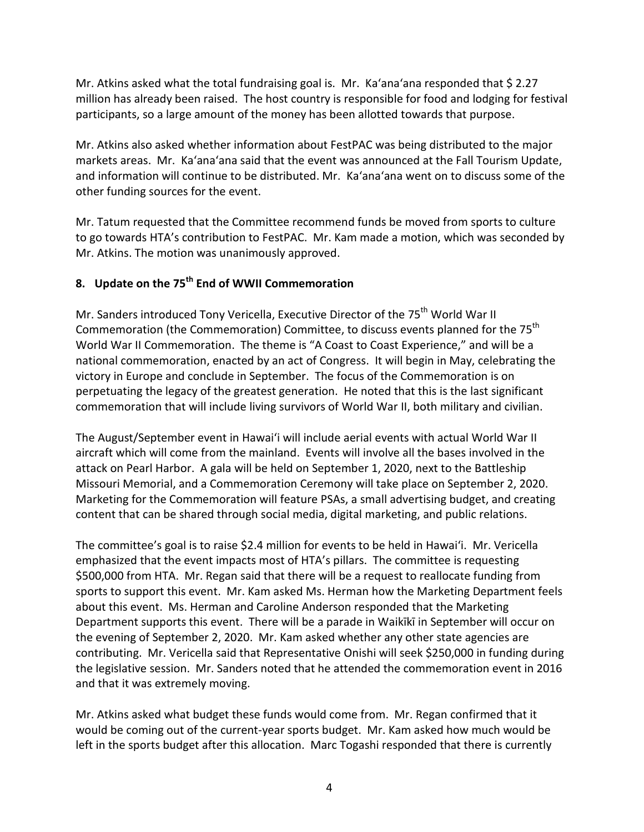Mr. Atkins asked what the total fundraising goal is. Mr. Ka'ana'ana responded that \$ 2.27 million has already been raised. The host country is responsible for food and lodging for festival participants, so a large amount of the money has been allotted towards that purpose.

Mr. Atkins also asked whether information about FestPAC was being distributed to the major markets areas. Mr. Ka'ana'ana said that the event was announced at the Fall Tourism Update, and information will continue to be distributed. Mr. Ka'ana'ana went on to discuss some of the other funding sources for the event.

Mr. Tatum requested that the Committee recommend funds be moved from sports to culture to go towards HTA's contribution to FestPAC. Mr. Kam made a motion, which was seconded by Mr. Atkins. The motion was unanimously approved.

# **8. Update on the 75th End of WWII Commemoration**

Mr. Sanders introduced Tony Vericella, Executive Director of the 75<sup>th</sup> World War II Commemoration (the Commemoration) Committee, to discuss events planned for the 75<sup>th</sup> World War II Commemoration. The theme is "A Coast to Coast Experience," and will be a national commemoration, enacted by an act of Congress. It will begin in May, celebrating the victory in Europe and conclude in September. The focus of the Commemoration is on perpetuating the legacy of the greatest generation. He noted that this is the last significant commemoration that will include living survivors of World War II, both military and civilian.

The August/September event in Hawai'i will include aerial events with actual World War II aircraft which will come from the mainland. Events will involve all the bases involved in the attack on Pearl Harbor. A gala will be held on September 1, 2020, next to the Battleship Missouri Memorial, and a Commemoration Ceremony will take place on September 2, 2020. Marketing for the Commemoration will feature PSAs, a small advertising budget, and creating content that can be shared through social media, digital marketing, and public relations.

The committee's goal is to raise \$2.4 million for events to be held in Hawai'i. Mr. Vericella emphasized that the event impacts most of HTA's pillars. The committee is requesting \$500,000 from HTA. Mr. Regan said that there will be a request to reallocate funding from sports to support this event. Mr. Kam asked Ms. Herman how the Marketing Department feels about this event. Ms. Herman and Caroline Anderson responded that the Marketing Department supports this event. There will be a parade in Waikīkī in September will occur on the evening of September 2, 2020. Mr. Kam asked whether any other state agencies are contributing. Mr. Vericella said that Representative Onishi will seek \$250,000 in funding during the legislative session. Mr. Sanders noted that he attended the commemoration event in 2016 and that it was extremely moving.

Mr. Atkins asked what budget these funds would come from. Mr. Regan confirmed that it would be coming out of the current-year sports budget. Mr. Kam asked how much would be left in the sports budget after this allocation. Marc Togashi responded that there is currently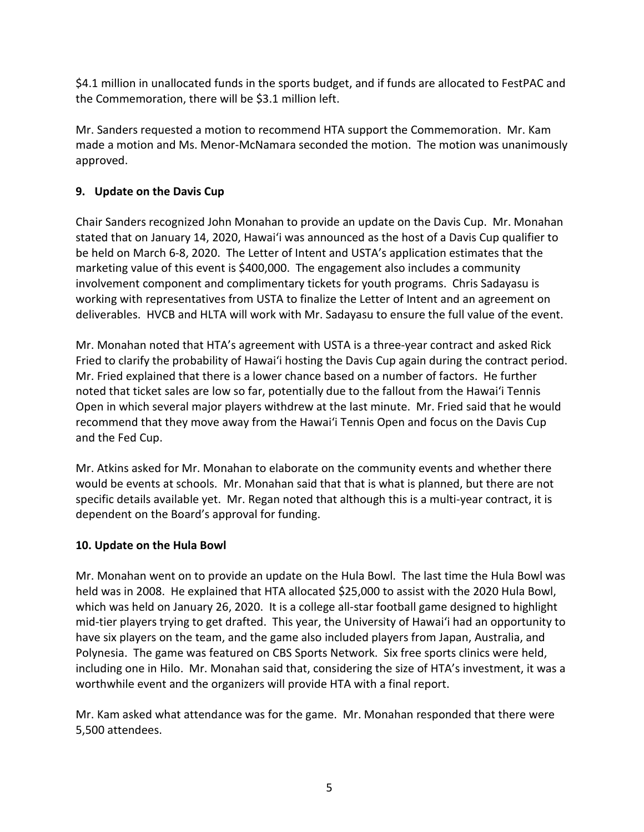\$4.1 million in unallocated funds in the sports budget, and if funds are allocated to FestPAC and the Commemoration, there will be \$3.1 million left.

Mr. Sanders requested a motion to recommend HTA support the Commemoration. Mr. Kam made a motion and Ms. Menor-McNamara seconded the motion. The motion was unanimously approved.

## **9. Update on the Davis Cup**

Chair Sanders recognized John Monahan to provide an update on the Davis Cup. Mr. Monahan stated that on January 14, 2020, Hawai'i was announced as the host of a Davis Cup qualifier to be held on March 6-8, 2020. The Letter of Intent and USTA's application estimates that the marketing value of this event is \$400,000. The engagement also includes a community involvement component and complimentary tickets for youth programs. Chris Sadayasu is working with representatives from USTA to finalize the Letter of Intent and an agreement on deliverables. HVCB and HLTA will work with Mr. Sadayasu to ensure the full value of the event.

Mr. Monahan noted that HTA's agreement with USTA is a three-year contract and asked Rick Fried to clarify the probability of Hawai'i hosting the Davis Cup again during the contract period. Mr. Fried explained that there is a lower chance based on a number of factors. He further noted that ticket sales are low so far, potentially due to the fallout from the Hawai'i Tennis Open in which several major players withdrew at the last minute. Mr. Fried said that he would recommend that they move away from the Hawai'i Tennis Open and focus on the Davis Cup and the Fed Cup.

Mr. Atkins asked for Mr. Monahan to elaborate on the community events and whether there would be events at schools. Mr. Monahan said that that is what is planned, but there are not specific details available yet. Mr. Regan noted that although this is a multi-year contract, it is dependent on the Board's approval for funding.

## **10. Update on the Hula Bowl**

Mr. Monahan went on to provide an update on the Hula Bowl. The last time the Hula Bowl was held was in 2008. He explained that HTA allocated \$25,000 to assist with the 2020 Hula Bowl, which was held on January 26, 2020. It is a college all-star football game designed to highlight mid-tier players trying to get drafted. This year, the University of Hawai'i had an opportunity to have six players on the team, and the game also included players from Japan, Australia, and Polynesia. The game was featured on CBS Sports Network. Six free sports clinics were held, including one in Hilo. Mr. Monahan said that, considering the size of HTA's investment, it was a worthwhile event and the organizers will provide HTA with a final report.

Mr. Kam asked what attendance was for the game. Mr. Monahan responded that there were 5,500 attendees.